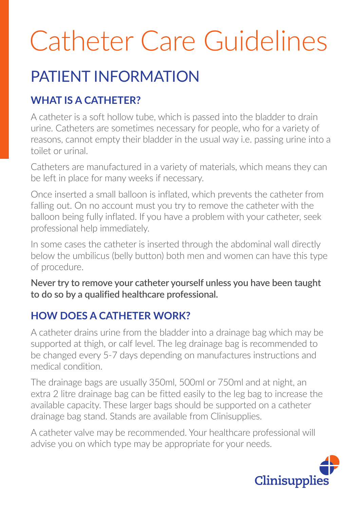# Catheter Care Guidelines

### PATIENT INFORMATION

### **WHAT IS A CATHETER?**

A catheter is a soft hollow tube, which is passed into the bladder to drain urine. Catheters are sometimes necessary for people, who for a variety of reasons, cannot empty their bladder in the usual way i.e. passing urine into a toilet or urinal.

Catheters are manufactured in a variety of materials, which means they can be left in place for many weeks if necessary.

Once inserted a small balloon is inflated, which prevents the catheter from falling out. On no account must you try to remove the catheter with the balloon being fully inflated. If you have a problem with your catheter, seek professional help immediately.

In some cases the catheter is inserted through the abdominal wall directly below the umbilicus (belly button) both men and women can have this type of procedure.

**Never try to remove your catheter yourself unless you have been taught to do so by a qualified healthcare professional.**

### **HOW DOES A CATHETER WORK?**

A catheter drains urine from the bladder into a drainage bag which may be supported at thigh, or calf level. The leg drainage bag is recommended to be changed every 5-7 days depending on manufactures instructions and medical condition.

The drainage bags are usually 350ml, 500ml or 750ml and at night, an extra 2 litre drainage bag can be fitted easily to the leg bag to increase the available capacity. These larger bags should be supported on a catheter drainage bag stand. Stands are available from Clinisupplies.

A catheter valve may be recommended. Your healthcare professional will advise you on which type may be appropriate for your needs.

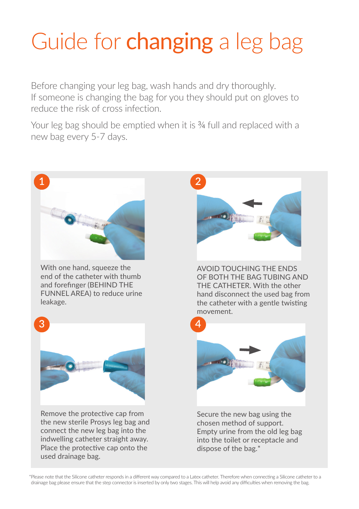## Guide for **changing** a leg bag

Before changing your leg bag, wash hands and dry thoroughly. If someone is changing the bag for you they should put on gloves to reduce the risk of cross infection.

Your leg bag should be emptied when it is <sup>3</sup> ⁄4 full and replaced with a new bag every 5-7 days.



\*Please note that the Silicone catheter responds in a different way compared to a Latex catheter. Therefore when connecting a Silicone catheter to a drainage bag please ensure that the step connector is inserted by only two stages. This will help avoid any difficulties when removing the bag.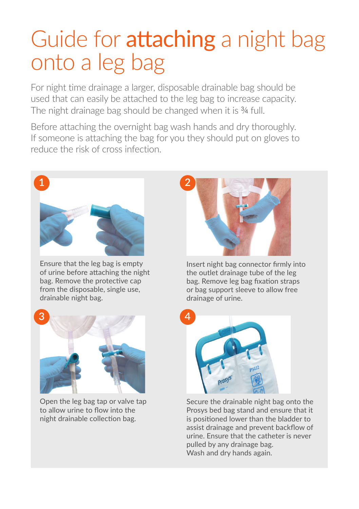### Guide for **attaching** a night bag onto a leg bag

For night time drainage a larger, disposable drainable bag should be used that can easily be attached to the leg bag to increase capacity. The night drainage bag should be changed when it is <sup>3</sup> ⁄4 full.

Before attaching the overnight bag wash hands and dry thoroughly. If someone is attaching the bag for you they should put on gloves to reduce the risk of cross infection.



Ensure that the leg bag is empty of urine before attaching the night bag. Remove the protective cap from the disposable, single use, drainable night bag.

**3**

Open the leg bag tap or valve tap to allow urine to flow into the night drainable collection bag.



Insert night bag connector firmly into the outlet drainage tube of the leg bag. Remove leg bag fixation straps or bag support sleeve to allow free drainage of urine.



Secure the drainable night bag onto the Prosys bed bag stand and ensure that it is positioned lower than the bladder to assist drainage and prevent backflow of urine. Ensure that the catheter is never pulled by any drainage bag. Wash and dry hands again.